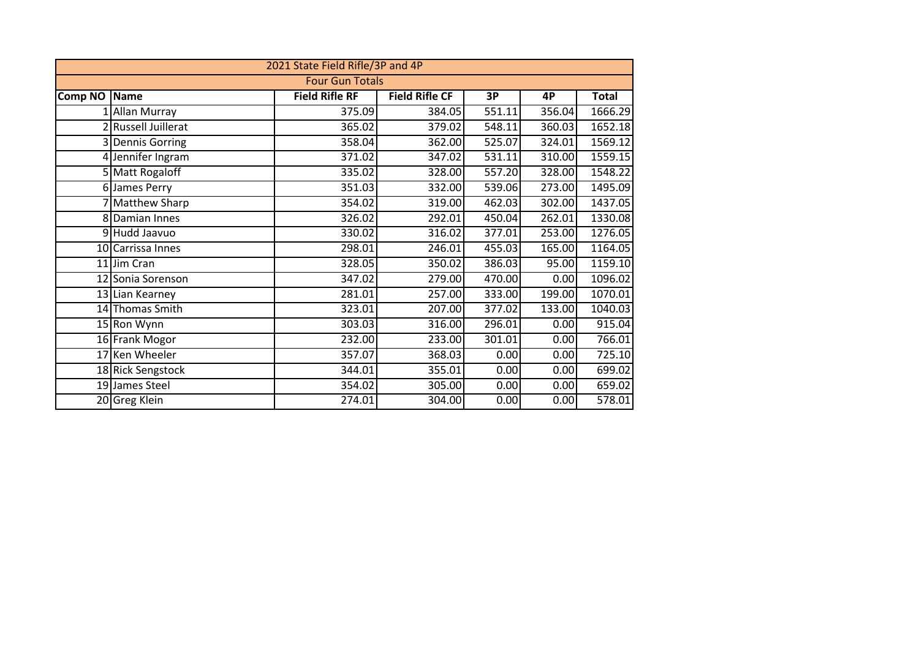|                        |                     | 2021 State Field Rifle/3P and 4P |                       |                     |        |              |  |  |  |  |  |  |
|------------------------|---------------------|----------------------------------|-----------------------|---------------------|--------|--------------|--|--|--|--|--|--|
| <b>Four Gun Totals</b> |                     |                                  |                       |                     |        |              |  |  |  |  |  |  |
| <b>Comp NO</b>         | <b>Name</b>         | <b>Field Rifle RF</b>            | <b>Field Rifle CF</b> | 3P                  | 4P     | <b>Total</b> |  |  |  |  |  |  |
|                        | 1 Allan Murray      | 375.09                           | 384.05                | 551.11              | 356.04 | 1666.29      |  |  |  |  |  |  |
|                        | 2 Russell Juillerat | 365.02                           | 379.02                | 548.11              | 360.03 | 1652.18      |  |  |  |  |  |  |
|                        | 3 Dennis Gorring    | 358.04                           | 362.00                | 525.07              | 324.01 | 1569.12      |  |  |  |  |  |  |
|                        | 4 Jennifer Ingram   | 371.02                           | 347.02                | 531.11              | 310.00 | 1559.15      |  |  |  |  |  |  |
|                        | 5 Matt Rogaloff     | 335.02                           | 328.00                | 557.20              | 328.00 | 1548.22      |  |  |  |  |  |  |
|                        | 6 James Perry       | 351.03                           | 332.00                | $\overline{539.06}$ | 273.00 | 1495.09      |  |  |  |  |  |  |
|                        | 7 Matthew Sharp     | 354.02                           | 319.00                | 462.03              | 302.00 | 1437.05      |  |  |  |  |  |  |
|                        | 8 Damian Innes      | 326.02                           | 292.01                | 450.04              | 262.01 | 1330.08      |  |  |  |  |  |  |
|                        | 9Hudd Jaavuo        | 330.02                           | 316.02                | 377.01              | 253.00 | 1276.05      |  |  |  |  |  |  |
|                        | 10 Carrissa Innes   | 298.01                           | 246.01                | 455.03              | 165.00 | 1164.05      |  |  |  |  |  |  |
|                        | 11 Jim Cran         | 328.05                           | 350.02                | 386.03              | 95.00  | 1159.10      |  |  |  |  |  |  |
|                        | 12 Sonia Sorenson   | 347.02                           | 279.00                | 470.00              | 0.00   | 1096.02      |  |  |  |  |  |  |
|                        | 13 Lian Kearney     | 281.01                           | 257.00                | 333.00              | 199.00 | 1070.01      |  |  |  |  |  |  |
|                        | 14 Thomas Smith     | 323.01                           | 207.00                | 377.02              | 133.00 | 1040.03      |  |  |  |  |  |  |
|                        | 15 Ron Wynn         | 303.03                           | 316.00                | 296.01              | 0.00   | 915.04       |  |  |  |  |  |  |
|                        | 16 Frank Mogor      | 232.00                           | 233.00                | 301.01              | 0.00   | 766.01       |  |  |  |  |  |  |
|                        | 17 Ken Wheeler      | 357.07                           | 368.03                | 0.00                | 0.00   | 725.10       |  |  |  |  |  |  |
|                        | 18 Rick Sengstock   | 344.01                           | 355.01                | 0.00                | 0.00   | 699.02       |  |  |  |  |  |  |
|                        | 19 James Steel      | 354.02                           | 305.00                | 0.00                | 0.00   | 659.02       |  |  |  |  |  |  |
|                        | 20 Greg Klein       | 274.01                           | 304.00                | 0.00                | 0.00   | 578.01       |  |  |  |  |  |  |